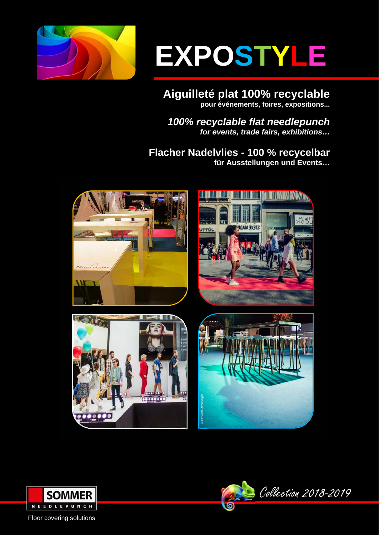

# **EXPOSTYLE**

**Aiguilleté plat 100% recyclable pour événements, foires, expositions...**

*100% recyclable flat needlepunch for events, trade fairs, exhibitions…* 

**Flacher Nadelvlies - 100 % recycelbar für Ausstellungen und Events…**













Floor covering solutions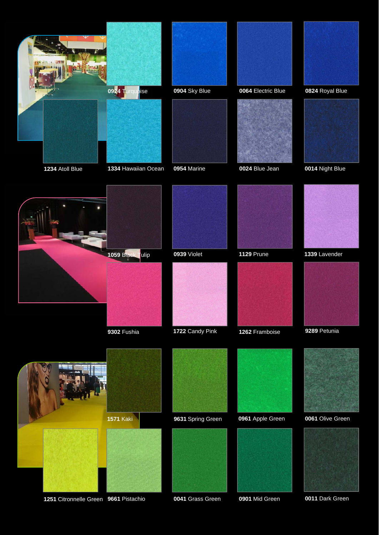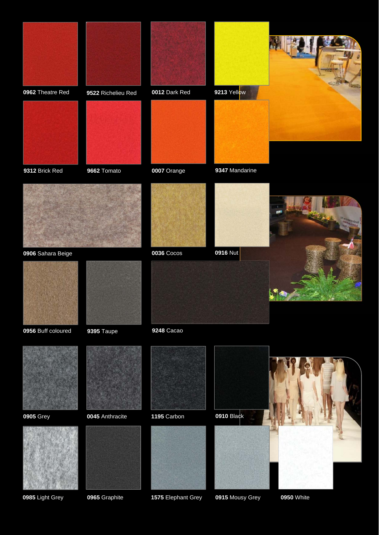